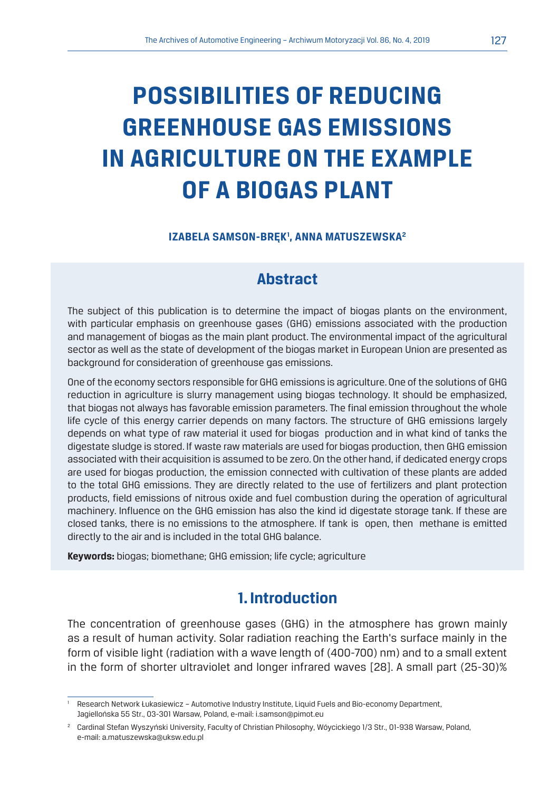# **POSSIBILITIES OF REDUCING GREENHOUSE GAS EMISSIONS IN AGRICULTURE ON THE EXAMPLE OF A BIOGAS PLANT**

#### **IZABELA SAMSON-BRĘK1 , ANNA MATUSZEWSKA2**

## **Abstract**

The subject of this publication is to determine the impact of biogas plants on the environment, with particular emphasis on greenhouse gases (GHG) emissions associated with the production and management of biogas as the main plant product. The environmental impact of the agricultural sector as well as the state of development of the biogas market in European Union are presented as background for consideration of greenhouse gas emissions.

One of the economy sectors responsible for GHG emissions is agriculture. One of the solutions of GHG reduction in agriculture is slurry management using biogas technology. It should be emphasized, that biogas not always has favorable emission parameters. The final emission throughout the whole life cycle of this energy carrier depends on many factors. The structure of GHG emissions largely depends on what type of raw material it used for biogas production and in what kind of tanks the digestate sludge is stored. If waste raw materials are used for biogas production, then GHG emission associated with their acquisition is assumed to be zero. On the other hand, if dedicated energy crops are used for biogas production, the emission connected with cultivation of these plants are added to the total GHG emissions. They are directly related to the use of fertilizers and plant protection products, field emissions of nitrous oxide and fuel combustion during the operation of agricultural machinery. Influence on the GHG emission has also the kind id digestate storage tank. If these are closed tanks, there is no emissions to the atmosphere. If tank is open, then methane is emitted directly to the air and is included in the total GHG balance.

**Keywords:** biogas; biomethane; GHG emission; life cycle; agriculture

## **1. Introduction**

The concentration of greenhouse gases (GHG) in the atmosphere has grown mainly as a result of human activity. Solar radiation reaching the Earth's surface mainly in the form of visible light (radiation with a wave length of (400-700) nm) and to a small extent in the form of shorter ultraviolet and longer infrared waves [28]. A small part (25-30)%

<sup>1</sup> Research Network Łukasiewicz – Automotive Industry Institute, Liquid Fuels and Bio-economy Department, Jagiellońska 55 Str., 03-301 Warsaw, Poland, e-mail: i.samson@pimot.eu

<sup>2</sup> Cardinal Stefan Wyszyński University, Faculty of Christian Philosophy, Wóycickiego 1/3 Str., 01-938 Warsaw, Poland, e-mail: a.matuszewska@uksw.edu.pl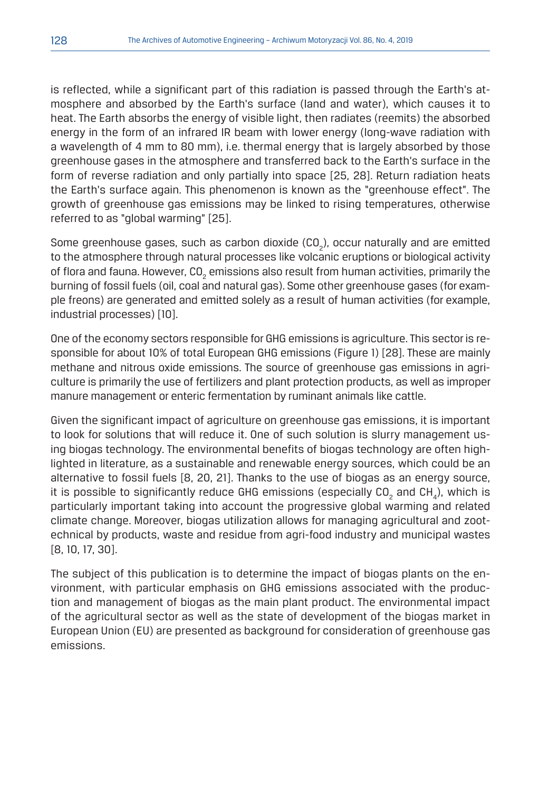is reflected, while a significant part of this radiation is passed through the Earth's atmosphere and absorbed by the Earth's surface (land and water), which causes it to heat. The Earth absorbs the energy of visible light, then radiates (reemits) the absorbed energy in the form of an infrared IR beam with lower energy (long-wave radiation with a wavelength of 4 mm to 80 mm), i.e. thermal energy that is largely absorbed by those greenhouse gases in the atmosphere and transferred back to the Earth's surface in the form of reverse radiation and only partially into space [25, 28]. Return radiation heats the Earth's surface again. This phenomenon is known as the "greenhouse effect". The growth of greenhouse gas emissions may be linked to rising temperatures, otherwise referred to as "global warming" [25].

Some greenhouse gases, such as carbon dioxide (CO<sub>2</sub>), occur naturally and are emitted to the atmosphere through natural processes like volcanic eruptions or biological activity of flora and fauna. However, CO $_{_2}$  emissions also result from human activities, primarily the burning of fossil fuels (oil, coal and natural gas). Some other greenhouse gases (for example freons) are generated and emitted solely as a result of human activities (for example, industrial processes) [10].

One of the economy sectors responsible for GHG emissions is agriculture. This sector is responsible for about 10% of total European GHG emissions (Figure 1) [28]. These are mainly methane and nitrous oxide emissions. The source of greenhouse gas emissions in agriculture is primarily the use of fertilizers and plant protection products, as well as improper manure management or enteric fermentation by ruminant animals like cattle.

Given the significant impact of agriculture on greenhouse gas emissions, it is important to look for solutions that will reduce it. One of such solution is slurry management using biogas technology. The environmental benefits of biogas technology are often highlighted in literature, as a sustainable and renewable energy sources, which could be an alternative to fossil fuels [8, 20, 21]. Thanks to the use of biogas as an energy source, it is possible to significantly reduce GHG emissions (especially CO<sub>2</sub> and CH<sub>4</sub>), which is particularly important taking into account the progressive global warming and related climate change. Moreover, biogas utilization allows for managing agricultural and zootechnical by products, waste and residue from agri-food industry and municipal wastes [8, 10, 17, 30].

The subject of this publication is to determine the impact of biogas plants on the environment, with particular emphasis on GHG emissions associated with the production and management of biogas as the main plant product. The environmental impact of the agricultural sector as well as the state of development of the biogas market in European Union (EU) are presented as background for consideration of greenhouse gas emissions.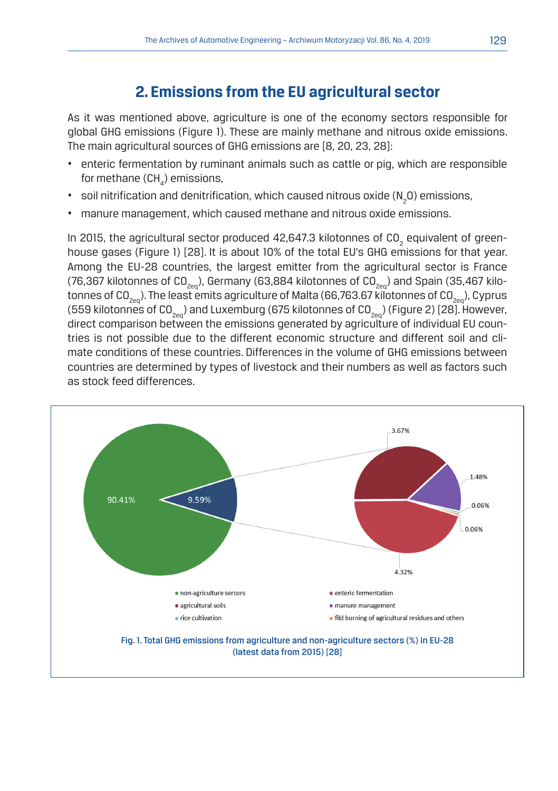# **2. Emissions from the EU agricultural sector**

As it was mentioned above, agriculture is one of the economy sectors responsible for global GHG emissions (Figure 1). These are mainly methane and nitrous oxide emissions. The main agricultural sources of GHG emissions are [8, 20, 23, 28]:

- enteric fermentation by ruminant animals such as cattle or pig, which are responsible for methane (CH $_{\rm_4}$ ) emissions,
- $\,$  soil nitrification and denitrification, which caused nitrous oxide (N $_{2}$ O) emissions,
- manure management, which caused methane and nitrous oxide emissions.

In 2015, the agricultural sector produced 42,647.3 kilotonnes of CO<sub>2</sub> equivalent of greenhouse gases (Figure 1) [28]. It is about 10% of the total EU's GHG emissions for that year. Among the EU-28 countries, the largest emitter from the agricultural sector is France (76,367 kilotonnes of CO<sub>2en</sub>), Germany (63,884 kilotonnes of CO<sub>2en</sub>) and Spain (35,467 kilotonnes of CO<sub>200</sub>). The least emits agriculture of Malta (66,763.67 kilotonnes of CO<sub>200</sub>), Cyprus (559 kilotonnes of CO<sub>200</sub>) and Luxemburg (675 kilotonnes of CO<sub>200</sub>) (Figure 2) [28]. However, direct comparison between the emissions generated by agriculture of individual EU countries is not possible due to the different economic structure and different soil and climate conditions of these countries. Differences in the volume of GHG emissions between countries are determined by types of livestock and their numbers as well as factors such as stock feed differences.

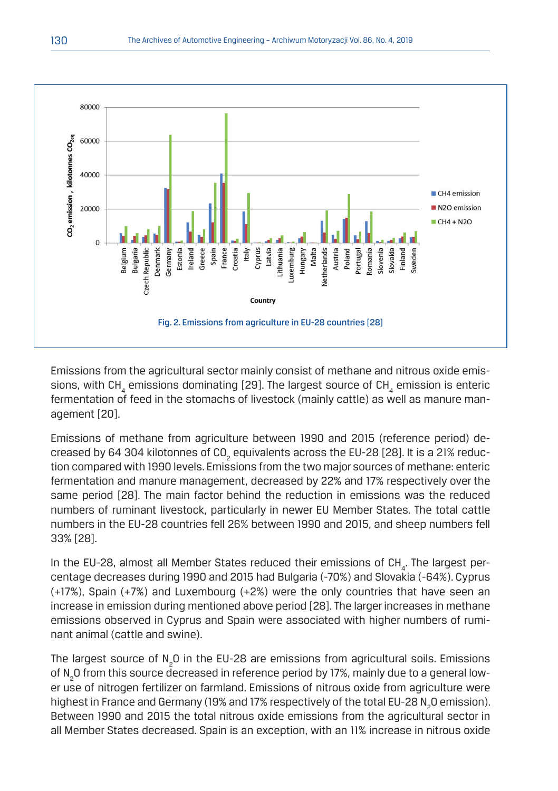

Emissions from the agricultural sector mainly consist of methane and nitrous oxide emissions, with CH<sub>4</sub> emissions dominating [29]. The largest source of CH<sub>4</sub> emission is enteric fermentation of feed in the stomachs of livestock (mainly cattle) as well as manure management [20].

Emissions of methane from agriculture between 1990 and 2015 (reference period) decreased by 64 304 kilotonnes of CO $_{_2}$  equivalents across the EU-28 [28]. It is a 21% reduction compared with 1990 levels. Emissions from the two major sources of methane: enteric fermentation and manure management, decreased by 22% and 17% respectively over the same period [28]. The main factor behind the reduction in emissions was the reduced numbers of ruminant livestock, particularly in newer EU Member States. The total cattle numbers in the EU-28 countries fell 26% between 1990 and 2015, and sheep numbers fell 33% [28].

In the EU-28, almost all Member States reduced their emissions of CH<sub>4</sub>. The largest percentage decreases during 1990 and 2015 had Bulgaria (-70%) and Slovakia (-64%). Cyprus (+17%), Spain (+7%) and Luxembourg (+2%) were the only countries that have seen an increase in emission during mentioned above period [28]. The larger increases in methane emissions observed in Cyprus and Spain were associated with higher numbers of ruminant animal (cattle and swine).

The largest source of  $\text{N}_2\text{O}$  in the EU-28 are emissions from agricultural soils. Emissions of N<sub>2</sub>O from this source decreased in reference period by 17%, mainly due to a general lower use of nitrogen fertilizer on farmland. Emissions of nitrous oxide from agriculture were highest in France and Germany (19% and 17% respectively of the total EU-28  $\mathrm{N}_2\mathrm{O}$  emission). Between 1990 and 2015 the total nitrous oxide emissions from the agricultural sector in all Member States decreased. Spain is an exception, with an 11% increase in nitrous oxide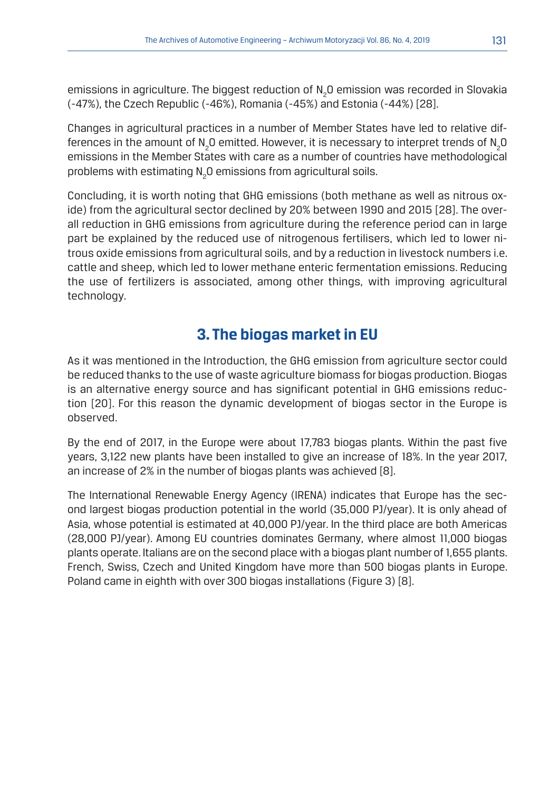emissions in agriculture. The biggest reduction of  $\textsf{N}_2\textsf{O}$  emission was recorded in Slovakia (-47%), the Czech Republic (-46%), Romania (-45%) and Estonia (-44%) [28].

Changes in agricultural practices in a number of Member States have led to relative differences in the amount of N<sub>2</sub>O emitted. However, it is necessary to interpret trends of N<sub>2</sub>O emissions in the Member States with care as a number of countries have methodological problems with estimating N<sub>2</sub>O emissions from agricultural soils.

Concluding, it is worth noting that GHG emissions (both methane as well as nitrous oxide) from the agricultural sector declined by 20% between 1990 and 2015 [28]. The overall reduction in GHG emissions from agriculture during the reference period can in large part be explained by the reduced use of nitrogenous fertilisers, which led to lower nitrous oxide emissions from agricultural soils, and by a reduction in livestock numbers i.e. cattle and sheep, which led to lower methane enteric fermentation emissions. Reducing the use of fertilizers is associated, among other things, with improving agricultural technology.

# **3. The biogas market in EU**

As it was mentioned in the Introduction, the GHG emission from agriculture sector could be reduced thanks to the use of waste agriculture biomass for biogas production. Biogas is an alternative energy source and has significant potential in GHG emissions reduction [20]. For this reason the dynamic development of biogas sector in the Europe is observed.

By the end of 2017, in the Europe were about 17,783 biogas plants. Within the past five years, 3,122 new plants have been installed to give an increase of 18%. In the year 2017, an increase of 2% in the number of biogas plants was achieved [8].

The International Renewable Energy Agency (IRENA) indicates that Europe has the second largest biogas production potential in the world (35,000 PJ/year). It is only ahead of Asia, whose potential is estimated at 40,000 PJ/year. In the third place are both Americas (28,000 PJ/year). Among EU countries dominates Germany, where almost 11,000 biogas plants operate. Italians are on the second place with a biogas plant number of 1,655 plants. French, Swiss, Czech and United Kingdom have more than 500 biogas plants in Europe. Poland came in eighth with over 300 biogas installations (Figure 3) [8].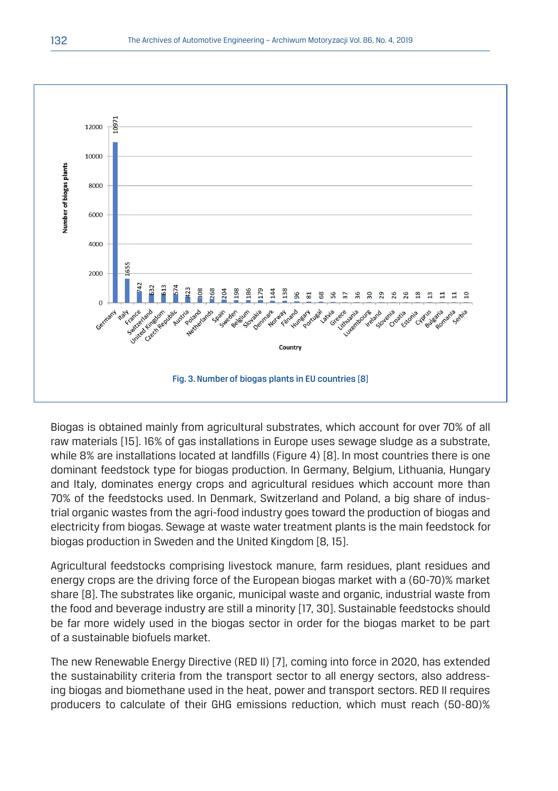

Biogas is obtained mainly from agricultural substrates, which account for over 70% of all raw materials [15]. 16% of gas installations in Europe uses sewage sludge as a substrate, while 8% are installations located at landfills (Figure 4) [8]. In most countries there is one dominant feedstock type for biogas production. In Germany, Belgium, Lithuania, Hungary and Italy, dominates energy crops and agricultural residues which account more than 70% of the feedstocks used. In Denmark, Switzerland and Poland, a big share of industrial organic wastes from the agri-food industry goes toward the production of biogas and electricity from biogas. Sewage at waste water treatment plants is the main feedstock for biogas production in Sweden and the United Kingdom [8, 15].

Agricultural feedstocks comprising livestock manure, farm residues, plant residues and energy crops are the driving force of the European biogas market with a (60-70)% market share [8]. The substrates like organic, municipal waste and organic, industrial waste from the food and beverage industry are still a minority [17, 30]. Sustainable feedstocks should be far more widely used in the biogas sector in order for the biogas market to be part of a sustainable biofuels market.

The new Renewable Energy Directive (RED II) [7], coming into force in 2020, has extended the sustainability criteria from the transport sector to all energy sectors, also addressing biogas and biomethane used in the heat, power and transport sectors. RED II requires producers to calculate of their GHG emissions reduction, which must reach (50-80)%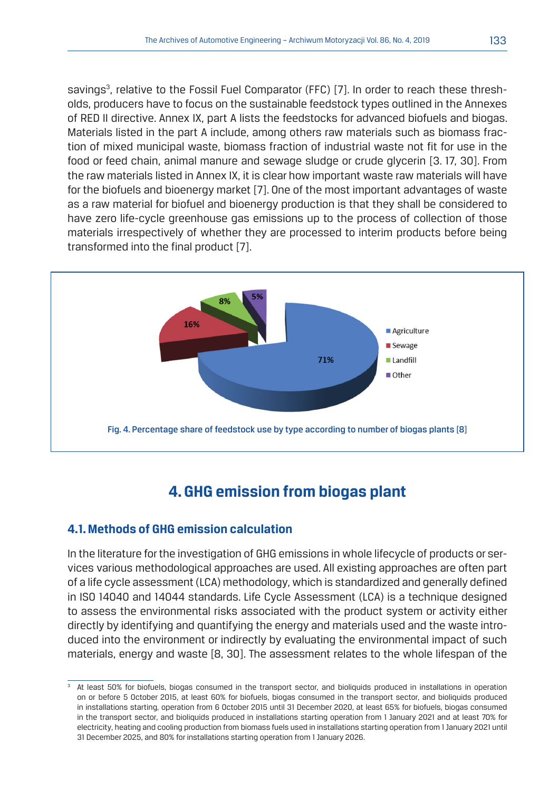savings<sup>3</sup>, relative to the Fossil Fuel Comparator (FFC) [7]. In order to reach these thresholds, producers have to focus on the sustainable feedstock types outlined in the Annexes of RED II directive. Annex IX, part A lists the feedstocks for advanced biofuels and biogas. Materials listed in the part A include, among others raw materials such as biomass fraction of mixed municipal waste, biomass fraction of industrial waste not fit for use in the food or feed chain, animal manure and sewage sludge or crude glycerin [3. 17, 30]. From the raw materials listed in Annex IX, it is clear how important waste raw materials will have for the biofuels and bioenergy market [7]. One of the most important advantages of waste as a raw material for biofuel and bioenergy production is that they shall be considered to have zero life-cycle greenhouse gas emissions up to the process of collection of those materials irrespectively of whether they are processed to interim products before being transformed into the final product [7].



# **4. GHG emission from biogas plant**

#### **4.1. Methods of GHG emission calculation**

In the literature for the investigation of GHG emissions in whole lifecycle of products or services various methodological approaches are used. All existing approaches are often part of a life cycle assessment (LCA) methodology, which is standardized and generally defined in ISO 14040 and 14044 standards. Life Cycle Assessment (LCA) is a technique designed to assess the environmental risks associated with the product system or activity either directly by identifying and quantifying the energy and materials used and the waste introduced into the environment or indirectly by evaluating the environmental impact of such materials, energy and waste [8, 30]. The assessment relates to the whole lifespan of the

<sup>&</sup>lt;sup>3</sup> At least 50% for biofuels, biogas consumed in the transport sector, and bioliquids produced in installations in operation on or before 5 October 2015, at least 60% for biofuels, biogas consumed in the transport sector, and bioliquids produced in installations starting, operation from 6 October 2015 until 31 December 2020, at least 65% for biofuels, biogas consumed in the transport sector, and bioliquids produced in installations starting operation from 1 January 2021 and at least 70% for electricity, heating and cooling production from biomass fuels used in installations starting operation from 1 January 2021 until 31 December 2025, and 80% for installations starting operation from 1 January 2026.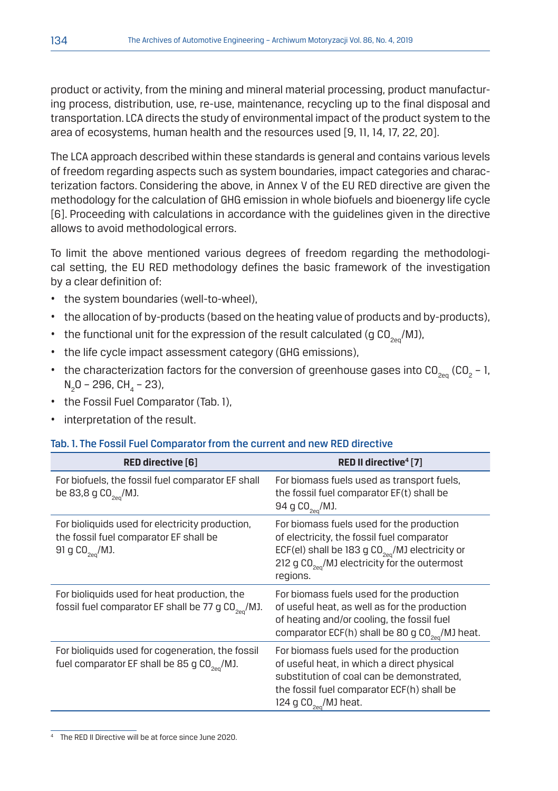product or activity, from the mining and mineral material processing, product manufacturing process, distribution, use, re-use, maintenance, recycling up to the final disposal and transportation. LCA directs the study of environmental impact of the product system to the area of ecosystems, human health and the resources used [9, 11, 14, 17, 22, 20].

The LCA approach described within these standards is general and contains various levels of freedom regarding aspects such as system boundaries, impact categories and characterization factors. Considering the above, in Annex V of the EU RED directive are given the methodology for the calculation of GHG emission in whole biofuels and bioenergy life cycle [6]. Proceeding with calculations in accordance with the guidelines given in the directive allows to avoid methodological errors.

To limit the above mentioned various degrees of freedom regarding the methodological setting, the EU RED methodology defines the basic framework of the investigation by a clear definition of:

- the system boundaries (well-to-wheel),
- the allocation of by-products (based on the heating value of products and by-products),
- the functional unit for the expression of the result calculated (g  $CO<sub>200</sub>$ /MJ),
- the life cycle impact assessment category (GHG emissions),
- the characterization factors for the conversion of greenhouse gases into CO<sub>2eq</sub> (CO<sub>2</sub> 1, N<sub>2</sub>0 – 296, CH<sub>4</sub> – 23),
- the Fossil Fuel Comparator (Tab. 1),
- interpretation of the result.

#### Tab. 1. The Fossil Fuel Comparator from the current and new RED directive

| RED directive [6]                                                                                                        | RED II directive <sup>4</sup> [7]                                                                                                                                                                                        |  |  |  |  |
|--------------------------------------------------------------------------------------------------------------------------|--------------------------------------------------------------------------------------------------------------------------------------------------------------------------------------------------------------------------|--|--|--|--|
| For biofuels, the fossil fuel comparator EF shall<br>be 83,8 g $CO_{2e0}$ /MJ.                                           | For biomass fuels used as transport fuels,<br>the fossil fuel comparator EF(t) shall be<br>94 g CO <sub>2en</sub> /MJ.                                                                                                   |  |  |  |  |
| For bioliquids used for electricity production,<br>the fossil fuel comparator EF shall be<br>91 g CO <sub>2e0</sub> /MJ. | For biomass fuels used for the production<br>of electricity, the fossil fuel comparator<br>ECF(el) shall be 183 g $CO_{2e0}$ /MJ electricity or<br>212 g CO <sub>2e0</sub> /MJ electricity for the outermost<br>regions. |  |  |  |  |
| For bioliquids used for heat production, the<br>fossil fuel comparator EF shall be 77 g CO <sub>2en</sub> /MJ.           | For biomass fuels used for the production<br>of useful heat, as well as for the production<br>of heating and/or cooling, the fossil fuel<br>comparator ECF(h) shall be 80 g CO <sub>200</sub> /MJ heat.                  |  |  |  |  |
| For bioliquids used for cogeneration, the fossil<br>fuel comparator EF shall be 85 g $CO2e0/MJ$ .                        | For biomass fuels used for the production<br>of useful heat, in which a direct physical<br>substitution of coal can be demonstrated.<br>the fossil fuel comparator ECF(h) shall be<br>124 g CO <sub>200</sub> /MJ heat.  |  |  |  |  |

4 The RED II Directive will be at force since June 2020.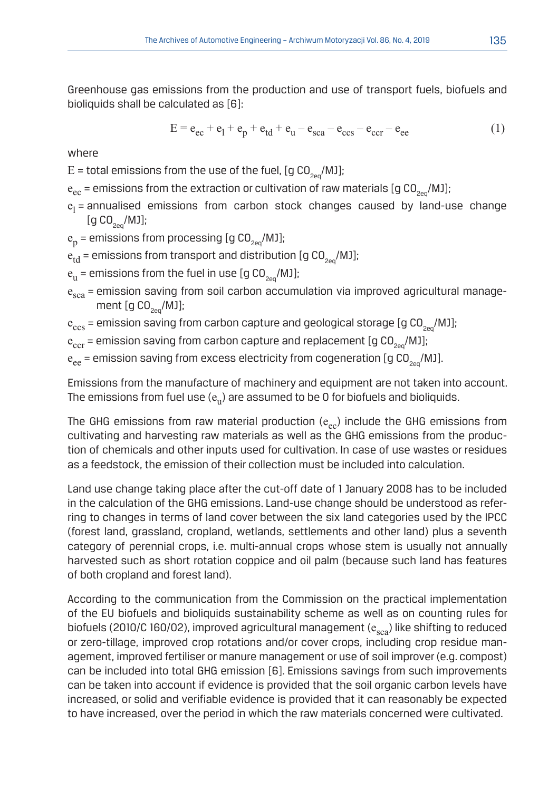Greenhouse gas emissions from the production and use of transport fuels, biofuels and bioliquids shall be calculated as [6]:

$$
E = e_{ec} + e_1 + e_p + e_{td} + e_u - e_{sca} - e_{ccs} - e_{ccr} - e_{ee}
$$
 (1)

where

 $E =$  total emissions from the use of the fuel, [g CO<sub>200</sub>/MJ];

- $e_{ec}$  = emissions from the extraction or cultivation of raw materials [g CO<sub>2eq</sub>/MJ];
- $e_l$  = annualised emissions from carbon stock changes caused by land-use change  $[g CO<sub>2eq</sub>/MJ];$

 $e_p$  = emissions from processing [g CO<sub>200</sub>/MJ];

 $e_{td}$  = emissions from transport and distribution [g CO<sub>2eq</sub>/MJ];

- $e_{\rm u}$  = emissions from the fuel in use [g CO<sub>200</sub>/MJ];
- $e_{sca}$  = emission saving from soil carbon accumulation via improved agricultural management  $[g CO_{2eq} / MJ]$ ;
- $e_{\text{ccs}}$  = emission saving from carbon capture and geological storage [g CO<sub>2eq</sub>/MJ];

 $e_{\text{ccr}}$  = emission saving from carbon capture and replacement [g CO<sub>2e0</sub>/MJ];

 $e_{ee}$  = emission saving from excess electricity from cogeneration [g CO<sub>2eq</sub>/MJ].

Emissions from the manufacture of machinery and equipment are not taken into account. The emissions from fuel use  $(e_{u})$  are assumed to be 0 for biofuels and bioliquids.

The GHG emissions from raw material production  $(e_{ec})$  include the GHG emissions from cultivating and harvesting raw materials as well as the GHG emissions from the production of chemicals and other inputs used for cultivation. In case of use wastes or residues as a feedstock, the emission of their collection must be included into calculation.

Land use change taking place after the cut-off date of 1 January 2008 has to be included in the calculation of the GHG emissions. Land-use change should be understood as referring to changes in terms of land cover between the six land categories used by the IPCC (forest land, grassland, cropland, wetlands, settlements and other land) plus a seventh category of perennial crops, i.e. multi-annual crops whose stem is usually not annually harvested such as short rotation coppice and oil palm (because such land has features of both cropland and forest land).

According to the communication from the Commission on the practical implementation of the EU biofuels and bioliquids sustainability scheme as well as on counting rules for biofuels (2010/C 160/02), improved agricultural management ( $e_{sca}$ ) like shifting to reduced or zero-tillage, improved crop rotations and/or cover crops, including crop residue management, improved fertiliser or manure management or use of soil improver (e.g. compost) can be included into total GHG emission [6]. Emissions savings from such improvements can be taken into account if evidence is provided that the soil organic carbon levels have increased, or solid and verifiable evidence is provided that it can reasonably be expected to have increased, over the period in which the raw materials concerned were cultivated.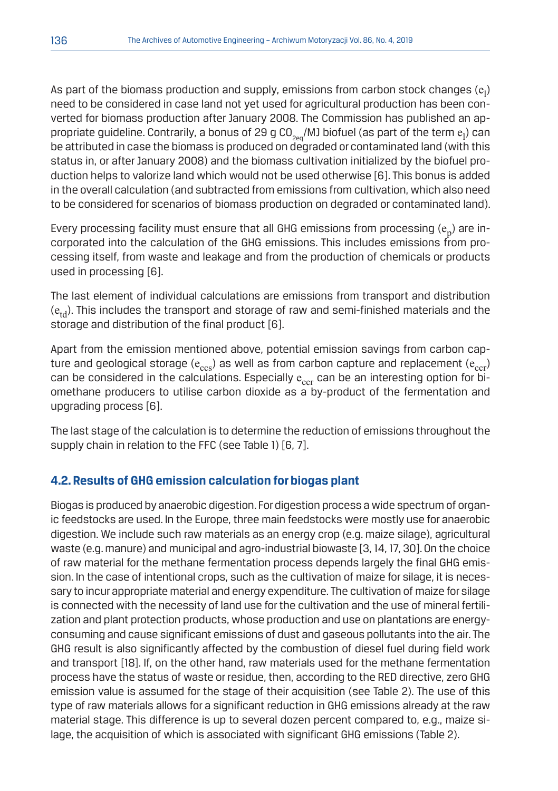As part of the biomass production and supply, emissions from carbon stock changes  $\rm (e_l)$ need to be considered in case land not yet used for agricultural production has been converted for biomass production after January 2008. The Commission has published an appropriate guideline. Contrarily, a bonus of 29 g CO $_{\rm{2eq}}$ /MJ biofuel (as part of the term  $\rm{e}_l$ ) can be attributed in case the biomass is produced on degraded or contaminated land (with this status in, or after January 2008) and the biomass cultivation initialized by the biofuel production helps to valorize land which would not be used otherwise [6]. This bonus is added in the overall calculation (and subtracted from emissions from cultivation, which also need to be considered for scenarios of biomass production on degraded or contaminated land).

Every processing facility must ensure that all GHG emissions from processing  $(e_n)$  are incorporated into the calculation of the GHG emissions. This includes emissions from processing itself, from waste and leakage and from the production of chemicals or products used in processing [6].

The last element of individual calculations are emissions from transport and distribution  $(e_{td})$ . This includes the transport and storage of raw and semi-finished materials and the storage and distribution of the final product [6].

Apart from the emission mentioned above, potential emission savings from carbon capture and geological storage ( $e_{ccs}$ ) as well as from carbon capture and replacement ( $e_{ccr}$ ) can be considered in the calculations. Especially  $e_{\text{cor}}$  can be an interesting option for biomethane producers to utilise carbon dioxide as a by-product of the fermentation and upgrading process [6].

The last stage of the calculation is to determine the reduction of emissions throughout the supply chain in relation to the FFC (see Table 1) [6, 7].

#### **4.2. Results of GHG emission calculation for biogas plant**

Biogas is produced by anaerobic digestion. For digestion process a wide spectrum of organic feedstocks are used. In the Europe, three main feedstocks were mostly use for anaerobic digestion. We include such raw materials as an energy crop (e.g. maize silage), agricultural waste (e.g. manure) and municipal and agro-industrial biowaste [3, 14, 17, 30]. On the choice of raw material for the methane fermentation process depends largely the final GHG emission. In the case of intentional crops, such as the cultivation of maize for silage, it is necessary to incur appropriate material and energy expenditure. The cultivation of maize for silage is connected with the necessity of land use for the cultivation and the use of mineral fertilization and plant protection products, whose production and use on plantations are energyconsuming and cause significant emissions of dust and gaseous pollutants into the air. The GHG result is also significantly affected by the combustion of diesel fuel during field work and transport [18]. If, on the other hand, raw materials used for the methane fermentation process have the status of waste or residue, then, according to the RED directive, zero GHG emission value is assumed for the stage of their acquisition (see Table 2). The use of this type of raw materials allows for a significant reduction in GHG emissions already at the raw material stage. This difference is up to several dozen percent compared to, e.g., maize silage, the acquisition of which is associated with significant GHG emissions (Table 2).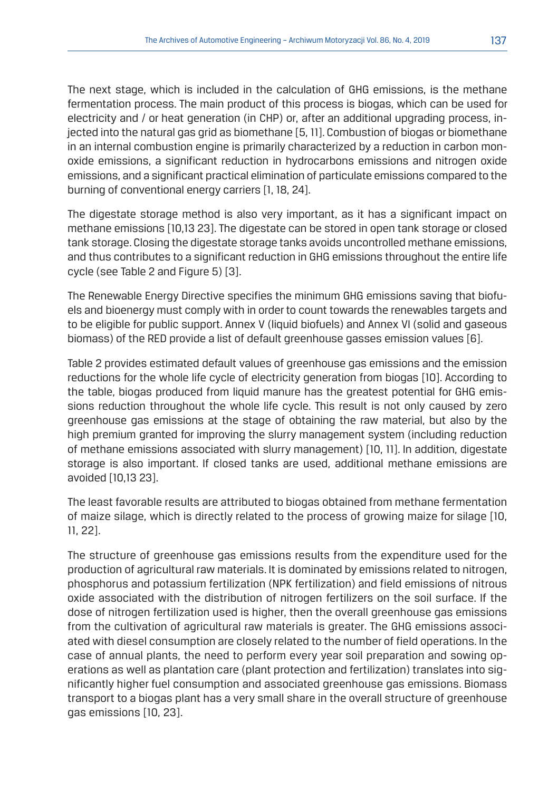The next stage, which is included in the calculation of GHG emissions, is the methane fermentation process. The main product of this process is biogas, which can be used for electricity and / or heat generation (in CHP) or, after an additional upgrading process, injected into the natural gas grid as biomethane [5, 11]. Combustion of biogas or biomethane in an internal combustion engine is primarily characterized by a reduction in carbon monoxide emissions, a significant reduction in hydrocarbons emissions and nitrogen oxide emissions, and a significant practical elimination of particulate emissions compared to the burning of conventional energy carriers [1, 18, 24].

The digestate storage method is also very important, as it has a significant impact on methane emissions [10,13 23]. The digestate can be stored in open tank storage or closed tank storage. Closing the digestate storage tanks avoids uncontrolled methane emissions, and thus contributes to a significant reduction in GHG emissions throughout the entire life cycle (see Table 2 and Figure 5) [3].

The Renewable Energy Directive specifies the minimum GHG emissions saving that biofuels and bioenergy must comply with in order to count towards the renewables targets and to be eligible for public support. Annex V (liquid biofuels) and Annex VI (solid and gaseous biomass) of the RED provide a list of default greenhouse gasses emission values [6].

Table 2 provides estimated default values of greenhouse gas emissions and the emission reductions for the whole life cycle of electricity generation from biogas [10]. According to the table, biogas produced from liquid manure has the greatest potential for GHG emissions reduction throughout the whole life cycle. This result is not only caused by zero greenhouse gas emissions at the stage of obtaining the raw material, but also by the high premium granted for improving the slurry management system (including reduction of methane emissions associated with slurry management) [10, 11]. In addition, digestate storage is also important. If closed tanks are used, additional methane emissions are avoided [10,13 23].

The least favorable results are attributed to biogas obtained from methane fermentation of maize silage, which is directly related to the process of growing maize for silage [10, 11, 22].

The structure of greenhouse gas emissions results from the expenditure used for the production of agricultural raw materials. It is dominated by emissions related to nitrogen, phosphorus and potassium fertilization (NPK fertilization) and field emissions of nitrous oxide associated with the distribution of nitrogen fertilizers on the soil surface. If the dose of nitrogen fertilization used is higher, then the overall greenhouse gas emissions from the cultivation of agricultural raw materials is greater. The GHG emissions associated with diesel consumption are closely related to the number of field operations. In the case of annual plants, the need to perform every year soil preparation and sowing operations as well as plantation care (plant protection and fertilization) translates into significantly higher fuel consumption and associated greenhouse gas emissions. Biomass transport to a biogas plant has a very small share in the overall structure of greenhouse gas emissions [10, 23].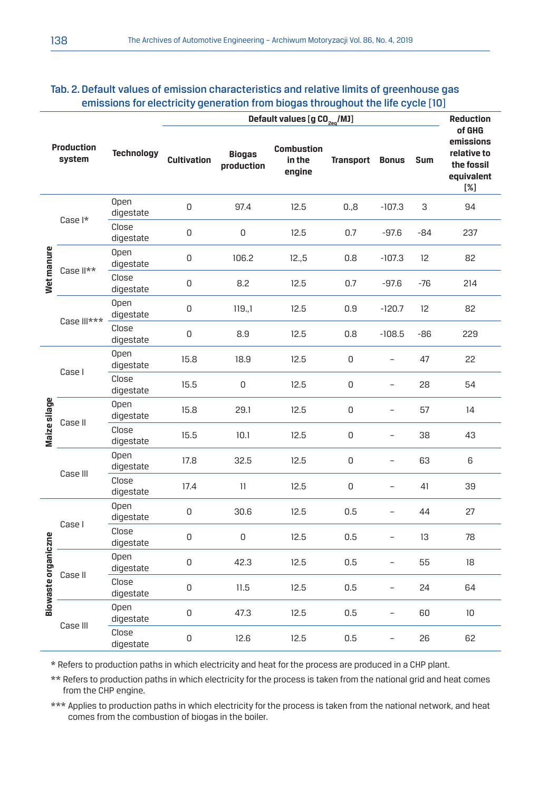|                             | Default values [g CO <sub>2eg</sub> /MJ] |                          |                    |                             |                                       |                  |                          |                          | <b>Reduction</b>                                                         |
|-----------------------------|------------------------------------------|--------------------------|--------------------|-----------------------------|---------------------------------------|------------------|--------------------------|--------------------------|--------------------------------------------------------------------------|
| <b>Production</b><br>system |                                          | <b>Technology</b>        | <b>Cultivation</b> | <b>Biogas</b><br>production | <b>Combustion</b><br>in the<br>engine | <b>Transport</b> | <b>Bonus</b>             | Sum                      | of GHG<br>emissions<br>relative to<br>the fossil<br>equivalent<br>$[\%]$ |
| Wet manure                  | Case I*                                  | Open<br>digestate        | 0                  | 97.4                        | 12.5                                  | 0.8              | $-107.3$                 | 3                        | 94                                                                       |
|                             |                                          | Close<br>digestate       | 0                  | 0                           | 12.5                                  | 0.7              | $-97.6$                  | $-84$                    | 237                                                                      |
|                             | Case II**                                | <b>Open</b><br>digestate | $\mathsf 0$        | 106.2                       | 12.5                                  | 0.8              | $-107.3$                 | 12                       | 82                                                                       |
|                             |                                          | Close<br>digestate       | 0                  | 8.2                         | 12.5                                  | 0.7              | $-97.6$                  | $-76$                    | 214                                                                      |
|                             | Case III***                              | <b>Open</b><br>digestate | 0                  | 119.1                       | 12.5                                  | 0.9              | $-120.7$                 | 12                       | 82                                                                       |
|                             |                                          | Close<br>digestate       | 0                  | 8.9                         | 12.5                                  | 0.8              | $-108.5$                 | $-86$                    | 229                                                                      |
| Maize silage                | Case I                                   | <b>Open</b><br>digestate | 15.8               | 18.9                        | 12.5                                  | 0                | $\overline{\phantom{0}}$ | 47                       | 22                                                                       |
|                             |                                          | Close<br>digestate       | 15.5               | $\mathsf 0$                 | 12.5                                  | 0                | $\overline{\phantom{0}}$ | 28                       | 54                                                                       |
|                             | Case II                                  | Open<br>digestate        | 15.8               | 29.1                        | 12.5                                  | 0                | $\overline{\phantom{0}}$ | 57                       | 14                                                                       |
|                             |                                          | Close<br>digestate       | 15.5               | 10.1                        | 12.5                                  | 0                | $\overline{\phantom{0}}$ | 38                       | 43                                                                       |
|                             | Case III                                 | <b>Open</b><br>digestate | 17.8               | 32.5                        | 12.5                                  | 0                | $\overline{\phantom{0}}$ | 63                       | 6                                                                        |
|                             |                                          |                          | Close<br>digestate | 17.4                        | 11                                    | 12.5             | 0                        | $\overline{\phantom{0}}$ | 41                                                                       |
| Biowaste organiczne         | Case I                                   | <b>Open</b><br>digestate | 0                  | 30.6                        | 12.5                                  | 0.5              | ÷                        | 44                       | 27                                                                       |
|                             |                                          | Close<br>digestate       | 0                  | 0                           | 12.5                                  | 0.5              | $\overline{\phantom{0}}$ | 13                       | 78                                                                       |
|                             | Case II                                  | Open<br>digestate        | 0                  | 42.3                        | 12.5                                  | 0.5              | $\overline{\phantom{0}}$ | 55                       | 18                                                                       |
|                             |                                          | Close<br>digestate       | 0                  | 11.5                        | 12.5                                  | 0.5              | $\equiv$                 | 24                       | 64                                                                       |
|                             | Case III                                 | <b>Open</b><br>digestate | 0                  | 47.3                        | 12.5                                  | 0.5              | $\overline{\phantom{0}}$ | 60                       | 10                                                                       |
|                             |                                          | Close<br>digestate       | $\mathsf 0$        | 12.6                        | 12.5                                  | 0.5              | $\overline{a}$           | 26                       | 62                                                                       |

#### Tab. 2. Default values of emission characteristics and relative limits of greenhouse gas emissions for electricity generation from biogas throughout the life cycle [10]

\* Refers to production paths in which electricity and heat for the process are produced in a CHP plant.

\*\* Refers to production paths in which electricity for the process is taken from the national grid and heat comes from the CHP engine.

\*\*\* Applies to production paths in which electricity for the process is taken from the national network, and heat comes from the combustion of biogas in the boiler.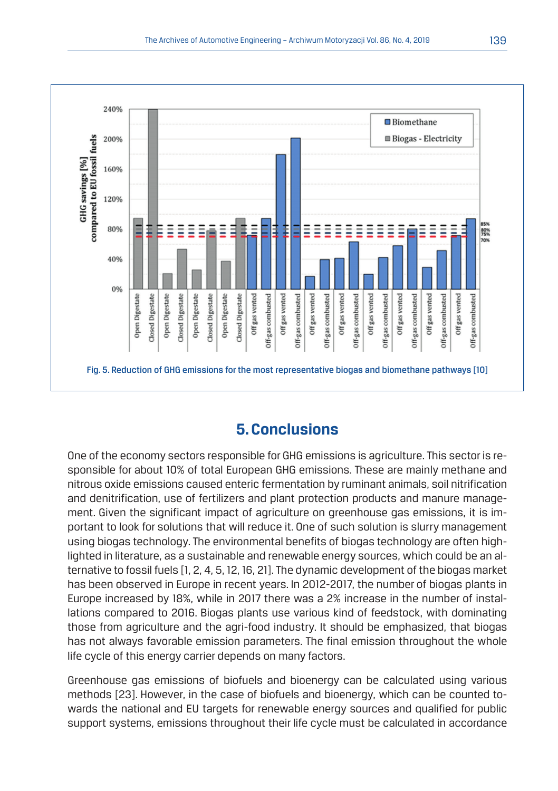

## **5. Conclusions**

One of the economy sectors responsible for GHG emissions is agriculture. This sector is responsible for about 10% of total European GHG emissions. These are mainly methane and nitrous oxide emissions caused enteric fermentation by ruminant animals, soil nitrification and denitrification, use of fertilizers and plant protection products and manure management. Given the significant impact of agriculture on greenhouse gas emissions, it is important to look for solutions that will reduce it. One of such solution is slurry management using biogas technology. The environmental benefits of biogas technology are often highlighted in literature, as a sustainable and renewable energy sources, which could be an alternative to fossil fuels [1, 2, 4, 5, 12, 16, 21]. The dynamic development of the biogas market has been observed in Europe in recent years. In 2012-2017, the number of biogas plants in Europe increased by 18%, while in 2017 there was a 2% increase in the number of installations compared to 2016. Biogas plants use various kind of feedstock, with dominating those from agriculture and the agri-food industry. It should be emphasized, that biogas has not always favorable emission parameters. The final emission throughout the whole life cycle of this energy carrier depends on many factors.

Greenhouse gas emissions of biofuels and bioenergy can be calculated using various methods [23]. However, in the case of biofuels and bioenergy, which can be counted towards the national and EU targets for renewable energy sources and qualified for public support systems, emissions throughout their life cycle must be calculated in accordance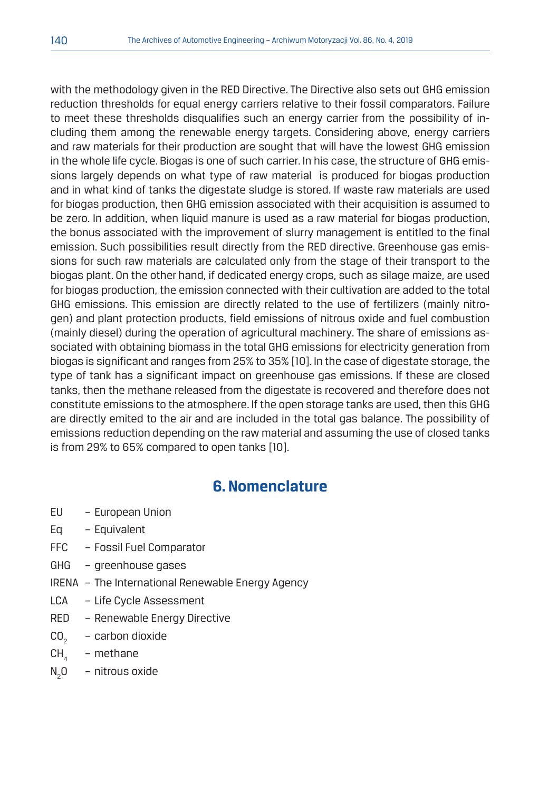with the methodology given in the RED Directive. The Directive also sets out GHG emission reduction thresholds for equal energy carriers relative to their fossil comparators. Failure to meet these thresholds disqualifies such an energy carrier from the possibility of including them among the renewable energy targets. Considering above, energy carriers and raw materials for their production are sought that will have the lowest GHG emission in the whole life cycle. Biogas is one of such carrier. In his case, the structure of GHG emissions largely depends on what type of raw material is produced for biogas production and in what kind of tanks the digestate sludge is stored. If waste raw materials are used for biogas production, then GHG emission associated with their acquisition is assumed to be zero. In addition, when liquid manure is used as a raw material for biogas production, the bonus associated with the improvement of slurry management is entitled to the final emission. Such possibilities result directly from the RED directive. Greenhouse gas emissions for such raw materials are calculated only from the stage of their transport to the biogas plant. On the other hand, if dedicated energy crops, such as silage maize, are used for biogas production, the emission connected with their cultivation are added to the total GHG emissions. This emission are directly related to the use of fertilizers (mainly nitrogen) and plant protection products, field emissions of nitrous oxide and fuel combustion (mainly diesel) during the operation of agricultural machinery. The share of emissions associated with obtaining biomass in the total GHG emissions for electricity generation from biogas is significant and ranges from 25% to 35% [10]. In the case of digestate storage, the type of tank has a significant impact on greenhouse gas emissions. If these are closed tanks, then the methane released from the digestate is recovered and therefore does not constitute emissions to the atmosphere. If the open storage tanks are used, then this GHG are directly emited to the air and are included in the total gas balance. The possibility of emissions reduction depending on the raw material and assuming the use of closed tanks is from 29% to 65% compared to open tanks [10].

## **6. Nomenclature**

- EU European Union
- Eq Equivalent
- FFC Fossil Fuel Comparator
- GHG greenhouse gases
- IRENA The International Renewable Energy Agency
- LCA Life Cycle Assessment
- RED Renewable Energy Directive
- CO<sub>2</sub> carbon dioxide
- $CH<sub>A</sub>$  methane
- $N_2$ - nitrous oxide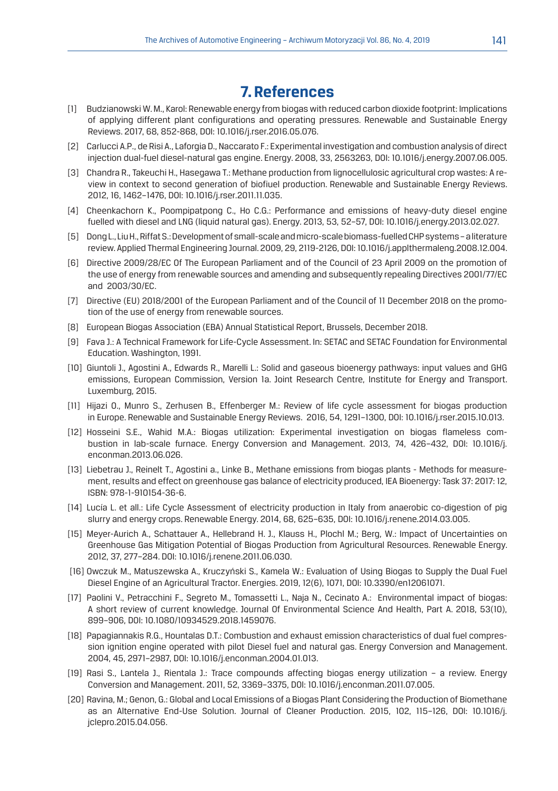## **7. References**

- [1] Budzianowski W. M., Karol: Renewable energy from biogas with reduced carbon dioxide footprint: Implications of applying different plant configurations and operating pressures. Renewable and Sustainable Energy Reviews. 2017, 68, 852-868, DOI: 10.1016/j.rser.2016.05.076.
- [2] Carlucci A.P., de Risi A., Laforgia D., Naccarato F.: Experimental investigation and combustion analysis of direct injection dual-fuel diesel-natural gas engine. Energy. 2008, 33, 2563263, DOI: 10.1016/j.energy.2007.06.005.
- [3] Chandra R., Takeuchi H., Hasegawa T.: Methane production from lignocellulosic agricultural crop wastes: A review in context to second generation of biofiuel production. Renewable and Sustainable Energy Reviews. 2012, 16, 1462–1476, DOI: 10.1016/j.rser.2011.11.035.
- [4] Cheenkachorn K., Poompipatpong C., Ho C.G.: Performance and emissions of heavy-duty diesel engine fuelled with diesel and LNG (liquid natural gas). Energy. 2013, 53, 52–57, DOI: 10.1016/j.energy.2013.02.027.
- [5] Dong L., Liu H., Riffat S.: Development of small-scale and micro-scale biomass-fuelled CHP systems a literature review. Applied Thermal Engineering Journal. 2009, 29, 2119-2126, DOI: 10.1016/j.applthermaleng.2008.12.004.
- [6] Directive 2009/28/EC Of The European Parliament and of the Council of 23 April 2009 on the promotion of the use of energy from renewable sources and amending and subsequently repealing Directives 2001/77/EC and 2003/30/EC.
- [7] Directive (EU) 2018/2001 of the European Parliament and of the Council of 11 December 2018 on the promotion of the use of energy from renewable sources.
- [8] European Biogas Association (EBA) Annual Statistical Report, Brussels, December 2018.
- [9] Fava J.: A Technical Framework for Life-Cycle Assessment. In: SETAC and SETAC Foundation for Environmental Education. Washington, 1991.
- [10] Giuntoli J., Agostini A., Edwards R., Marelli L.: Solid and gaseous bioenergy pathways: input values and GHG emissions, European Commission, Version 1a. Joint Research Centre, Institute for Energy and Transport. Luxemburg, 2015.
- [11] Hijazi O., Munro S., Zerhusen B., Effenberger M.; Review of life cycle assessment for biogas production in Europe. Renewable and Sustainable Energy Reviews. 2016, 54, 1291–1300, DOI: 10.1016/j.rser.2015.10.013.
- [12] Hosseini S.E., Wahid M.A.: Biogas utilization: Experimental investigation on biogas flameless combustion in lab-scale furnace. Energy Conversion and Management. 2013, 74, 426–432, DOI: 10.1016/j. enconman.2013.06.026.
- [13] Liebetrau J., Reinelt T., Agostini a., Linke B., Methane emissions from biogas plants Methods for measurement, results and effect on greenhouse gas balance of electricity produced, IEA Bioenergy: Task 37: 2017: 12, ISBN: 978-1-910154-36-6.
- [14] Lucía L. et all.: Life Cycle Assessment of electricity production in Italy from anaerobic co-digestion of pig slurry and energy crops. Renewable Energy. 2014, 68, 625–635, DOI: 10.1016/j.renene.2014.03.005.
- [15] Meyer-Aurich A., Schattauer A., Hellebrand H. J., Klauss H., Plochl M.; Berg, W.: Impact of Uncertainties on Greenhouse Gas Mitigation Potential of Biogas Production from Agricultural Resources. Renewable Energy. 2012, 37, 277–284. DOI: 10.1016/j.renene.2011.06.030.
- [16] Owczuk M., Matuszewska A., Kruczyński S., Kamela W.: Evaluation of Using Biogas to Supply the Dual Fuel Diesel Engine of an Agricultural Tractor. Energies. 2019, 12(6), 1071, DOI: 10.3390/en12061071.
- [17] Paolini V., Petracchini F., Segreto M., Tomassetti L., Naja N., Cecinato A.: Environmental impact of biogas: A short review of current knowledge. Journal Of Environmental Science And Health, Part A. 2018, 53(10), 899–906, DOI: 10.1080/10934529.2018.1459076.
- [18] Papagiannakis R.G., Hountalas D.T.: Combustion and exhaust emission characteristics of dual fuel compression ignition engine operated with pilot Diesel fuel and natural gas. Energy Conversion and Management. 2004, 45, 2971–2987, DOI: 10.1016/j.enconman.2004.01.013.
- [19] Rasi S., Lantela J., Rientala J.: Trace compounds affecting biogas energy utilization a review. Energy Conversion and Management. 2011, 52, 3369–3375, DOI: 10.1016/j.enconman.2011.07.005.
- [20] Ravina, M.; Genon, G.: Global and Local Emissions of a Biogas Plant Considering the Production of Biomethane as an Alternative End-Use Solution. Journal of Cleaner Production. 2015, 102, 115–126, DOI: 10.1016/j. jclepro.2015.04.056.